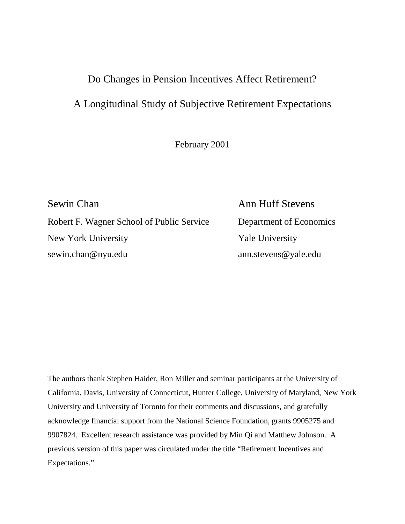# Do Changes in Pension Incentives Affect Retirement?

# A Longitudinal Study of Subjective Retirement Expectations

February 2001

Sewin Chan Ann Huff Stevens Robert F. Wagner School of Public Service Department of Economics New York University **Yale University** sewin.chan@nyu.edu ann.stevens@yale.edu

The authors thank Stephen Haider, Ron Miller and seminar participants at the University of California, Davis, University of Connecticut, Hunter College, University of Maryland, New York University and University of Toronto for their comments and discussions, and gratefully acknowledge financial support from the National Science Foundation, grants 9905275 and 9907824. Excellent research assistance was provided by Min Qi and Matthew Johnson. A previous version of this paper was circulated under the title "Retirement Incentives and Expectations."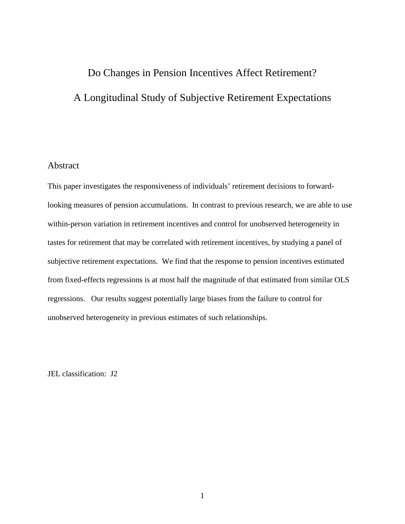# Do Changes in Pension Incentives Affect Retirement? A Longitudinal Study of Subjective Retirement Expectations

## Abstract

This paper investigates the responsiveness of individuals' retirement decisions to forwardlooking measures of pension accumulations. In contrast to previous research, we are able to use within-person variation in retirement incentives and control for unobserved heterogeneity in tastes for retirement that may be correlated with retirement incentives, by studying a panel of subjective retirement expectations. We find that the response to pension incentives estimated from fixed-effects regressions is at most half the magnitude of that estimated from similar OLS regressions. Our results suggest potentially large biases from the failure to control for unobserved heterogeneity in previous estimates of such relationships.

JEL classification: J2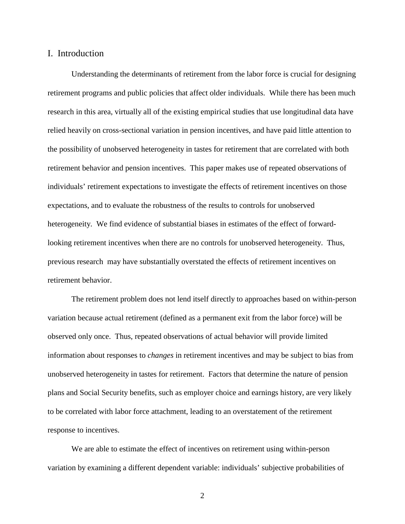## I. Introduction

 Understanding the determinants of retirement from the labor force is crucial for designing retirement programs and public policies that affect older individuals. While there has been much research in this area, virtually all of the existing empirical studies that use longitudinal data have relied heavily on cross-sectional variation in pension incentives, and have paid little attention to the possibility of unobserved heterogeneity in tastes for retirement that are correlated with both retirement behavior and pension incentives. This paper makes use of repeated observations of individuals' retirement expectations to investigate the effects of retirement incentives on those expectations, and to evaluate the robustness of the results to controls for unobserved heterogeneity. We find evidence of substantial biases in estimates of the effect of forwardlooking retirement incentives when there are no controls for unobserved heterogeneity. Thus, previous research may have substantially overstated the effects of retirement incentives on retirement behavior.

The retirement problem does not lend itself directly to approaches based on within-person variation because actual retirement (defined as a permanent exit from the labor force) will be observed only once. Thus, repeated observations of actual behavior will provide limited information about responses to *changes* in retirement incentives and may be subject to bias from unobserved heterogeneity in tastes for retirement. Factors that determine the nature of pension plans and Social Security benefits, such as employer choice and earnings history, are very likely to be correlated with labor force attachment, leading to an overstatement of the retirement response to incentives.

We are able to estimate the effect of incentives on retirement using within-person variation by examining a different dependent variable: individuals' subjective probabilities of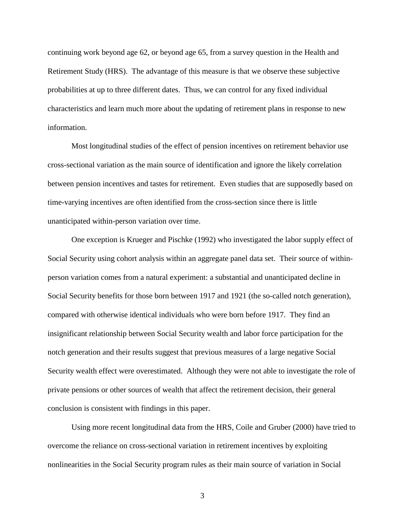continuing work beyond age 62, or beyond age 65, from a survey question in the Health and Retirement Study (HRS). The advantage of this measure is that we observe these subjective probabilities at up to three different dates. Thus, we can control for any fixed individual characteristics and learn much more about the updating of retirement plans in response to new information.

Most longitudinal studies of the effect of pension incentives on retirement behavior use cross-sectional variation as the main source of identification and ignore the likely correlation between pension incentives and tastes for retirement. Even studies that are supposedly based on time-varying incentives are often identified from the cross-section since there is little unanticipated within-person variation over time.

One exception is Krueger and Pischke (1992) who investigated the labor supply effect of Social Security using cohort analysis within an aggregate panel data set. Their source of withinperson variation comes from a natural experiment: a substantial and unanticipated decline in Social Security benefits for those born between 1917 and 1921 (the so-called notch generation), compared with otherwise identical individuals who were born before 1917. They find an insignificant relationship between Social Security wealth and labor force participation for the notch generation and their results suggest that previous measures of a large negative Social Security wealth effect were overestimated. Although they were not able to investigate the role of private pensions or other sources of wealth that affect the retirement decision, their general conclusion is consistent with findings in this paper.

Using more recent longitudinal data from the HRS, Coile and Gruber (2000) have tried to overcome the reliance on cross-sectional variation in retirement incentives by exploiting nonlinearities in the Social Security program rules as their main source of variation in Social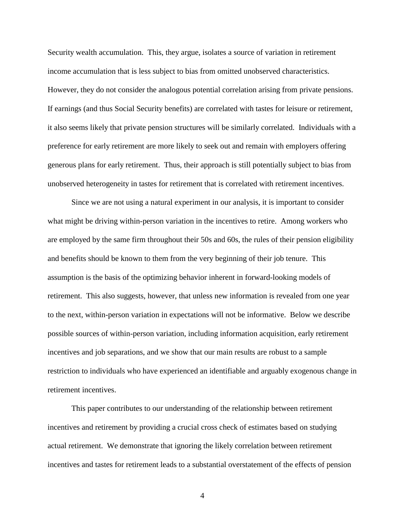Security wealth accumulation. This, they argue, isolates a source of variation in retirement income accumulation that is less subject to bias from omitted unobserved characteristics. However, they do not consider the analogous potential correlation arising from private pensions. If earnings (and thus Social Security benefits) are correlated with tastes for leisure or retirement, it also seems likely that private pension structures will be similarly correlated. Individuals with a preference for early retirement are more likely to seek out and remain with employers offering generous plans for early retirement. Thus, their approach is still potentially subject to bias from unobserved heterogeneity in tastes for retirement that is correlated with retirement incentives.

Since we are not using a natural experiment in our analysis, it is important to consider what might be driving within-person variation in the incentives to retire. Among workers who are employed by the same firm throughout their 50s and 60s, the rules of their pension eligibility and benefits should be known to them from the very beginning of their job tenure. This assumption is the basis of the optimizing behavior inherent in forward-looking models of retirement. This also suggests, however, that unless new information is revealed from one year to the next, within-person variation in expectations will not be informative. Below we describe possible sources of within-person variation, including information acquisition, early retirement incentives and job separations, and we show that our main results are robust to a sample restriction to individuals who have experienced an identifiable and arguably exogenous change in retirement incentives.

 This paper contributes to our understanding of the relationship between retirement incentives and retirement by providing a crucial cross check of estimates based on studying actual retirement. We demonstrate that ignoring the likely correlation between retirement incentives and tastes for retirement leads to a substantial overstatement of the effects of pension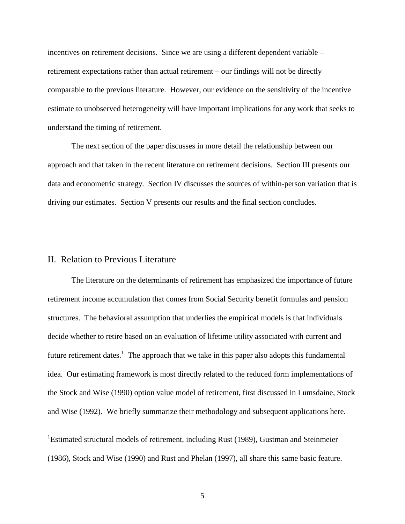incentives on retirement decisions. Since we are using a different dependent variable – retirement expectations rather than actual retirement – our findings will not be directly comparable to the previous literature. However, our evidence on the sensitivity of the incentive estimate to unobserved heterogeneity will have important implications for any work that seeks to understand the timing of retirement.

The next section of the paper discusses in more detail the relationship between our approach and that taken in the recent literature on retirement decisions. Section III presents our data and econometric strategy. Section IV discusses the sources of within-person variation that is driving our estimates. Section V presents our results and the final section concludes.

## II. Relation to Previous Literature

 $\overline{a}$ 

 The literature on the determinants of retirement has emphasized the importance of future retirement income accumulation that comes from Social Security benefit formulas and pension structures. The behavioral assumption that underlies the empirical models is that individuals decide whether to retire based on an evaluation of lifetime utility associated with current and future retirement dates.<sup>1</sup> The approach that we take in this paper also adopts this fundamental idea. Our estimating framework is most directly related to the reduced form implementations of the Stock and Wise (1990) option value model of retirement, first discussed in Lumsdaine, Stock and Wise (1992). We briefly summarize their methodology and subsequent applications here.

<sup>&</sup>lt;sup>1</sup>Estimated structural models of retirement, including Rust (1989), Gustman and Steinmeier (1986), Stock and Wise (1990) and Rust and Phelan (1997), all share this same basic feature.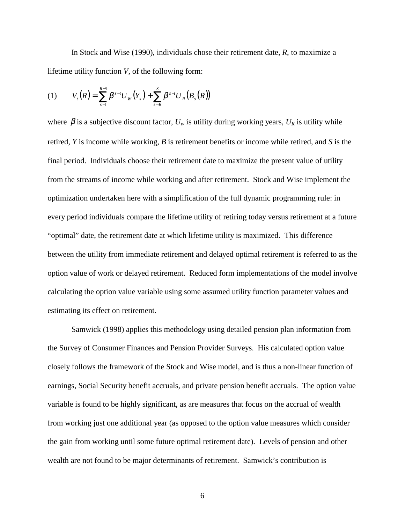In Stock and Wise (1990), individuals chose their retirement date, *R*, to maximize a lifetime utility function *V*, of the following form:

(1) 
$$
V_{t}(R) = \sum_{s=t}^{R-1} \beta^{s-t} U_{W}(Y_{s}) + \sum_{s=R}^{S} \beta^{s-t} U_{R}(B_{s}(R))
$$

where  $\beta$  is a subjective discount factor,  $U_w$  is utility during working years,  $U_R$  is utility while retired, *Y* is income while working, *B* is retirement benefits or income while retired, and *S* is the final period. Individuals choose their retirement date to maximize the present value of utility from the streams of income while working and after retirement. Stock and Wise implement the optimization undertaken here with a simplification of the full dynamic programming rule: in every period individuals compare the lifetime utility of retiring today versus retirement at a future "optimal" date, the retirement date at which lifetime utility is maximized. This difference between the utility from immediate retirement and delayed optimal retirement is referred to as the option value of work or delayed retirement. Reduced form implementations of the model involve calculating the option value variable using some assumed utility function parameter values and estimating its effect on retirement.

 Samwick (1998) applies this methodology using detailed pension plan information from the Survey of Consumer Finances and Pension Provider Surveys. His calculated option value closely follows the framework of the Stock and Wise model, and is thus a non-linear function of earnings, Social Security benefit accruals, and private pension benefit accruals. The option value variable is found to be highly significant, as are measures that focus on the accrual of wealth from working just one additional year (as opposed to the option value measures which consider the gain from working until some future optimal retirement date). Levels of pension and other wealth are not found to be major determinants of retirement. Samwick's contribution is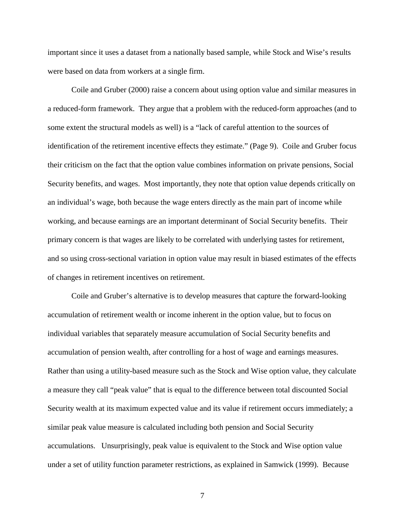important since it uses a dataset from a nationally based sample, while Stock and Wise's results were based on data from workers at a single firm.

 Coile and Gruber (2000) raise a concern about using option value and similar measures in a reduced-form framework. They argue that a problem with the reduced-form approaches (and to some extent the structural models as well) is a "lack of careful attention to the sources of identification of the retirement incentive effects they estimate." (Page 9). Coile and Gruber focus their criticism on the fact that the option value combines information on private pensions, Social Security benefits, and wages. Most importantly, they note that option value depends critically on an individual's wage, both because the wage enters directly as the main part of income while working, and because earnings are an important determinant of Social Security benefits. Their primary concern is that wages are likely to be correlated with underlying tastes for retirement, and so using cross-sectional variation in option value may result in biased estimates of the effects of changes in retirement incentives on retirement.

 Coile and Gruber's alternative is to develop measures that capture the forward-looking accumulation of retirement wealth or income inherent in the option value, but to focus on individual variables that separately measure accumulation of Social Security benefits and accumulation of pension wealth, after controlling for a host of wage and earnings measures. Rather than using a utility-based measure such as the Stock and Wise option value, they calculate a measure they call "peak value" that is equal to the difference between total discounted Social Security wealth at its maximum expected value and its value if retirement occurs immediately; a similar peak value measure is calculated including both pension and Social Security accumulations. Unsurprisingly, peak value is equivalent to the Stock and Wise option value under a set of utility function parameter restrictions, as explained in Samwick (1999). Because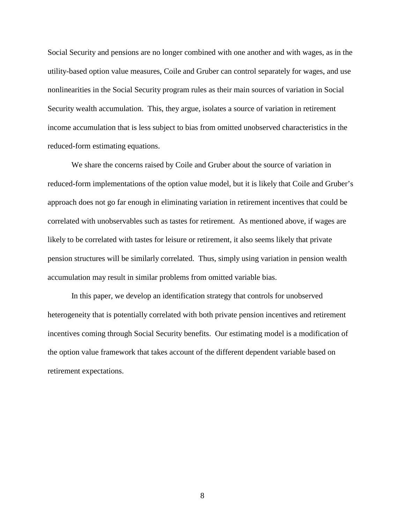Social Security and pensions are no longer combined with one another and with wages, as in the utility-based option value measures, Coile and Gruber can control separately for wages, and use nonlinearities in the Social Security program rules as their main sources of variation in Social Security wealth accumulation. This, they argue, isolates a source of variation in retirement income accumulation that is less subject to bias from omitted unobserved characteristics in the reduced-form estimating equations.

 We share the concerns raised by Coile and Gruber about the source of variation in reduced-form implementations of the option value model, but it is likely that Coile and Gruber's approach does not go far enough in eliminating variation in retirement incentives that could be correlated with unobservables such as tastes for retirement. As mentioned above, if wages are likely to be correlated with tastes for leisure or retirement, it also seems likely that private pension structures will be similarly correlated. Thus, simply using variation in pension wealth accumulation may result in similar problems from omitted variable bias.

In this paper, we develop an identification strategy that controls for unobserved heterogeneity that is potentially correlated with both private pension incentives and retirement incentives coming through Social Security benefits. Our estimating model is a modification of the option value framework that takes account of the different dependent variable based on retirement expectations.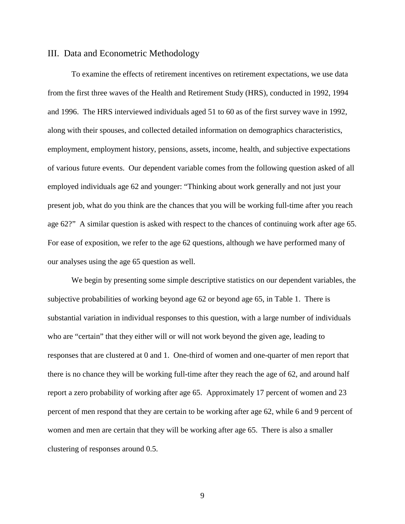### III. Data and Econometric Methodology

To examine the effects of retirement incentives on retirement expectations, we use data from the first three waves of the Health and Retirement Study (HRS), conducted in 1992, 1994 and 1996. The HRS interviewed individuals aged 51 to 60 as of the first survey wave in 1992, along with their spouses, and collected detailed information on demographics characteristics, employment, employment history, pensions, assets, income, health, and subjective expectations of various future events. Our dependent variable comes from the following question asked of all employed individuals age 62 and younger: "Thinking about work generally and not just your present job, what do you think are the chances that you will be working full-time after you reach age 62?" A similar question is asked with respect to the chances of continuing work after age 65. For ease of exposition, we refer to the age 62 questions, although we have performed many of our analyses using the age 65 question as well.

 We begin by presenting some simple descriptive statistics on our dependent variables, the subjective probabilities of working beyond age 62 or beyond age 65, in Table 1. There is substantial variation in individual responses to this question, with a large number of individuals who are "certain" that they either will or will not work beyond the given age, leading to responses that are clustered at 0 and 1. One-third of women and one-quarter of men report that there is no chance they will be working full-time after they reach the age of 62, and around half report a zero probability of working after age 65. Approximately 17 percent of women and 23 percent of men respond that they are certain to be working after age 62, while 6 and 9 percent of women and men are certain that they will be working after age 65. There is also a smaller clustering of responses around 0.5.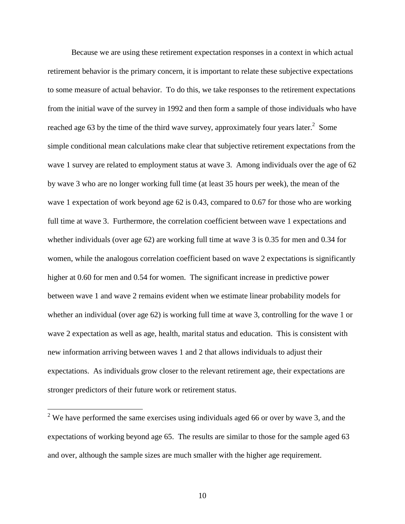Because we are using these retirement expectation responses in a context in which actual retirement behavior is the primary concern, it is important to relate these subjective expectations to some measure of actual behavior. To do this, we take responses to the retirement expectations from the initial wave of the survey in 1992 and then form a sample of those individuals who have reached age 63 by the time of the third wave survey, approximately four years later.<sup>2</sup> Some simple conditional mean calculations make clear that subjective retirement expectations from the wave 1 survey are related to employment status at wave 3. Among individuals over the age of 62 by wave 3 who are no longer working full time (at least 35 hours per week), the mean of the wave 1 expectation of work beyond age 62 is 0.43, compared to 0.67 for those who are working full time at wave 3. Furthermore, the correlation coefficient between wave 1 expectations and whether individuals (over age 62) are working full time at wave 3 is 0.35 for men and 0.34 for women, while the analogous correlation coefficient based on wave 2 expectations is significantly higher at 0.60 for men and 0.54 for women. The significant increase in predictive power between wave 1 and wave 2 remains evident when we estimate linear probability models for whether an individual (over age 62) is working full time at wave 3, controlling for the wave 1 or wave 2 expectation as well as age, health, marital status and education. This is consistent with new information arriving between waves 1 and 2 that allows individuals to adjust their expectations. As individuals grow closer to the relevant retirement age, their expectations are stronger predictors of their future work or retirement status.

 $\overline{a}$ 

<sup>&</sup>lt;sup>2</sup> We have performed the same exercises using individuals aged 66 or over by wave 3, and the expectations of working beyond age 65. The results are similar to those for the sample aged 63 and over, although the sample sizes are much smaller with the higher age requirement.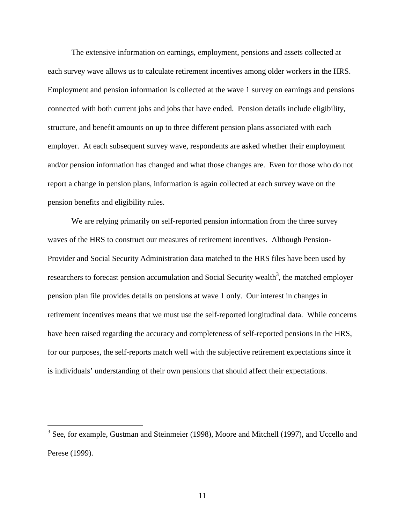The extensive information on earnings, employment, pensions and assets collected at each survey wave allows us to calculate retirement incentives among older workers in the HRS. Employment and pension information is collected at the wave 1 survey on earnings and pensions connected with both current jobs and jobs that have ended. Pension details include eligibility, structure, and benefit amounts on up to three different pension plans associated with each employer. At each subsequent survey wave, respondents are asked whether their employment and/or pension information has changed and what those changes are. Even for those who do not report a change in pension plans, information is again collected at each survey wave on the pension benefits and eligibility rules.

We are relying primarily on self-reported pension information from the three survey waves of the HRS to construct our measures of retirement incentives. Although Pension-Provider and Social Security Administration data matched to the HRS files have been used by researchers to forecast pension accumulation and Social Security wealth<sup>3</sup>, the matched employer pension plan file provides details on pensions at wave 1 only. Our interest in changes in retirement incentives means that we must use the self-reported longitudinal data. While concerns have been raised regarding the accuracy and completeness of self-reported pensions in the HRS, for our purposes, the self-reports match well with the subjective retirement expectations since it is individuals' understanding of their own pensions that should affect their expectations.

<sup>&</sup>lt;sup>3</sup> See, for example, Gustman and Steinmeier (1998), Moore and Mitchell (1997), and Uccello and Perese (1999).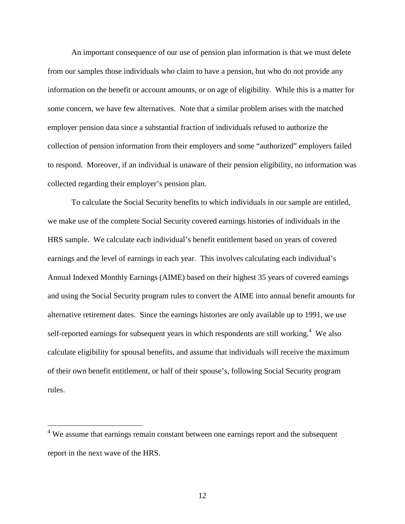An important consequence of our use of pension plan information is that we must delete from our samples those individuals who claim to have a pension, but who do not provide any information on the benefit or account amounts, or on age of eligibility. While this is a matter for some concern, we have few alternatives. Note that a similar problem arises with the matched employer pension data since a substantial fraction of individuals refused to authorize the collection of pension information from their employers and some "authorized" employers failed to respond. Moreover, if an individual is unaware of their pension eligibility, no information was collected regarding their employer's pension plan.

To calculate the Social Security benefits to which individuals in our sample are entitled, we make use of the complete Social Security covered earnings histories of individuals in the HRS sample. We calculate each individual's benefit entitlement based on years of covered earnings and the level of earnings in each year. This involves calculating each individual's Annual Indexed Monthly Earnings (AIME) based on their highest 35 years of covered earnings and using the Social Security program rules to convert the AIME into annual benefit amounts for alternative retirement dates. Since the earnings histories are only available up to 1991, we use self-reported earnings for subsequent years in which respondents are still working. $4$  We also calculate eligibility for spousal benefits, and assume that individuals will receive the maximum of their own benefit entitlement, or half of their spouse's, following Social Security program rules.

 $\overline{a}$ 

<sup>&</sup>lt;sup>4</sup> We assume that earnings remain constant between one earnings report and the subsequent report in the next wave of the HRS.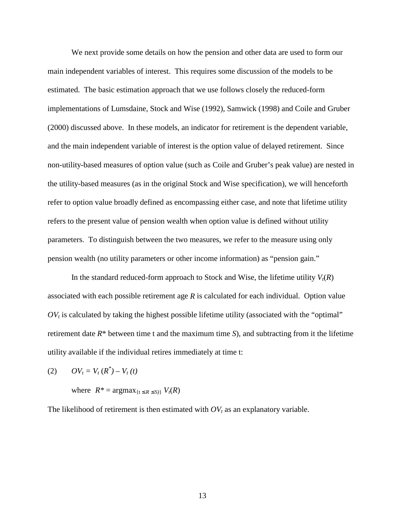We next provide some details on how the pension and other data are used to form our main independent variables of interest. This requires some discussion of the models to be estimated. The basic estimation approach that we use follows closely the reduced-form implementations of Lumsdaine, Stock and Wise (1992), Samwick (1998) and Coile and Gruber (2000) discussed above. In these models, an indicator for retirement is the dependent variable, and the main independent variable of interest is the option value of delayed retirement. Since non-utility-based measures of option value (such as Coile and Gruber's peak value) are nested in the utility-based measures (as in the original Stock and Wise specification), we will henceforth refer to option value broadly defined as encompassing either case, and note that lifetime utility refers to the present value of pension wealth when option value is defined without utility parameters. To distinguish between the two measures, we refer to the measure using only pension wealth (no utility parameters or other income information) as "pension gain."

In the standard reduced-form approach to Stock and Wise, the lifetime utility  $V_t(R)$ associated with each possible retirement age *R* is calculated for each individual. Option value  $OV<sub>t</sub>$  is calculated by taking the highest possible lifetime utility (associated with the "optimal" retirement date *R*\* between time t and the maximum time *S*), and subtracting from it the lifetime utility available if the individual retires immediately at time t:

$$
(2) \qquad OV_t = V_t\left(R^*\right) - V_t\left(t\right)
$$

where  $R^* = \arg \max_{\{t \leq R \leq S\}} V_t(R)$ 

The likelihood of retirement is then estimated with  $OV_t$  as an explanatory variable.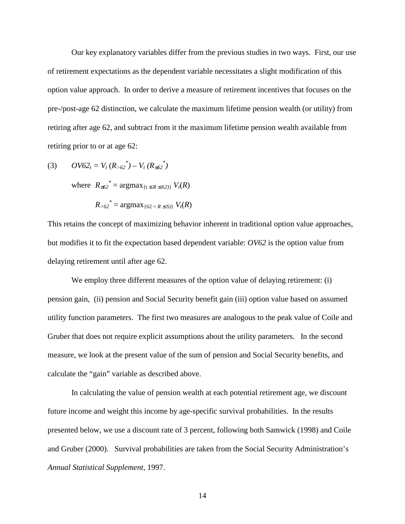Our key explanatory variables differ from the previous studies in two ways. First, our use of retirement expectations as the dependent variable necessitates a slight modification of this option value approach. In order to derive a measure of retirement incentives that focuses on the pre-/post-age 62 distinction, we calculate the maximum lifetime pension wealth (or utility) from retiring after age 62, and subtract from it the maximum lifetime pension wealth available from retiring prior to or at age 62:

(3) 
$$
OV62_t = V_t (R_{>62}^*) - V_t (R_{\leq 62}^*)
$$

where  $R_{\leq 62}^* = \arg \max_{\{t \leq R \leq 62\}} V_t(R)$ 

$$
R_{>62}^* = \text{argmax}_{\{62 < R \leq S\}} V_t(R)
$$

This retains the concept of maximizing behavior inherent in traditional option value approaches, but modifies it to fit the expectation based dependent variable: *OV62* is the option value from delaying retirement until after age 62.

We employ three different measures of the option value of delaying retirement: (i) pension gain, (ii) pension and Social Security benefit gain (iii) option value based on assumed utility function parameters. The first two measures are analogous to the peak value of Coile and Gruber that does not require explicit assumptions about the utility parameters. In the second measure, we look at the present value of the sum of pension and Social Security benefits, and calculate the "gain" variable as described above.

In calculating the value of pension wealth at each potential retirement age, we discount future income and weight this income by age-specific survival probabilities. In the results presented below, we use a discount rate of 3 percent, following both Samwick (1998) and Coile and Gruber (2000). Survival probabilities are taken from the Social Security Administration's *Annual Statistical Supplement*, 1997.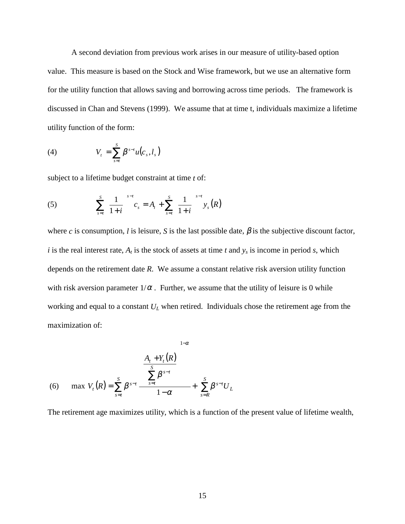A second deviation from previous work arises in our measure of utility-based option value. This measure is based on the Stock and Wise framework, but we use an alternative form for the utility function that allows saving and borrowing across time periods. The framework is discussed in Chan and Stevens (1999). We assume that at time t, individuals maximize a lifetime utility function of the form:

(4) 
$$
V_t = \sum_{s=t}^{S} \beta^{s-t} u(c_s, l_s)
$$

subject to a lifetime budget constraint at time *t* of:

(5) 
$$
\sum_{s=t}^{S} \left(\frac{1}{1+i}\right)^{s-t} c_s = A_t + \sum_{s=t}^{S} \left(\frac{1}{1+i}\right)^{s-t} y_s(R)
$$

where *c* is consumption, *l* is leisure, *S* is the last possible date,  $\beta$  is the subjective discount factor, *i* is the real interest rate,  $A_t$  is the stock of assets at time  $t$  and  $y_s$  is income in period  $s$ , which depends on the retirement date *R*. We assume a constant relative risk aversion utility function with risk aversion parameter  $1/\alpha$ . Further, we assume that the utility of leisure is 0 while working and equal to a constant  $U_L$  when retired. Individuals chose the retirement age from the maximization of:

(6) 
$$
\max V_{t}(R) = \sum_{s=t}^{S} \beta^{s-t} \frac{\left(\frac{A_{t} + Y_{t}(R)}{S} \right)^{1-\alpha}}{1-\alpha} + \sum_{s=R}^{S} \beta^{s-t} U_{L}
$$

The retirement age maximizes utility, which is a function of the present value of lifetime wealth,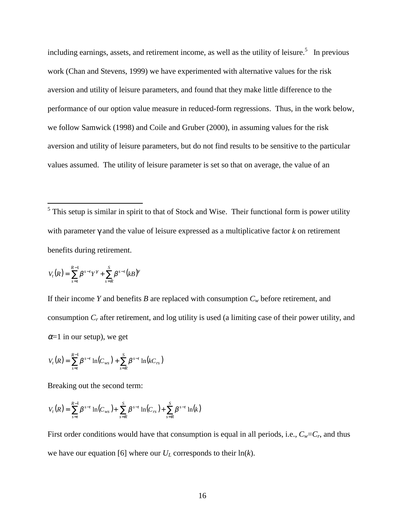including earnings, assets, and retirement income, as well as the utility of leisure.<sup>5</sup> In previous work (Chan and Stevens, 1999) we have experimented with alternative values for the risk aversion and utility of leisure parameters, and found that they make little difference to the performance of our option value measure in reduced-form regressions. Thus, in the work below, we follow Samwick (1998) and Coile and Gruber (2000), in assuming values for the risk aversion and utility of leisure parameters, but do not find results to be sensitive to the particular values assumed. The utility of leisure parameter is set so that on average, the value of an

<sup>5</sup>This setup is similar in spirit to that of Stock and Wise. Their functional form is power utility with parameter γ and the value of leisure expressed as a multiplicative factor *k* on retirement benefits during retirement.

$$
V_{t}(R) = \sum_{s=t}^{R-1} \beta^{s-t} Y^{\gamma} + \sum_{s=R}^{S} \beta^{s-t} (kB)^{\gamma}
$$

If their income *Y* and benefits *B* are replaced with consumption  $C_w$  before retirement, and consumption *Cr* after retirement, and log utility is used (a limiting case of their power utility, and  $\alpha$ =1 in our setup), we get

$$
V_t(R) = \sum_{s=t}^{R-1} \beta^{s-t} \ln(C_{ws}) + \sum_{s=R}^{S} \beta^{s-t} \ln(kC_{rs})
$$

Breaking out the second term:

$$
V_t(R) = \sum_{s=t}^{R-1} \beta^{s-t} \ln(C_{ws}) + \sum_{s=R}^{S} \beta^{s-t} \ln(C_{rs}) + \sum_{s=R}^{S} \beta^{s-t} \ln(k)
$$

First order conditions would have that consumption is equal in all periods, i.e.,  $C_w = C_r$ , and thus we have our equation [6] where our  $U_L$  corresponds to their  $\ln(k)$ .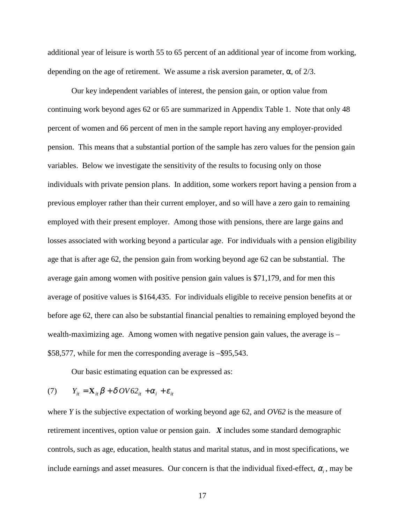additional year of leisure is worth 55 to 65 percent of an additional year of income from working, depending on the age of retirement. We assume a risk aversion parameter,  $\alpha$ , of 2/3.

Our key independent variables of interest, the pension gain, or option value from continuing work beyond ages 62 or 65 are summarized in Appendix Table 1. Note that only 48 percent of women and 66 percent of men in the sample report having any employer-provided pension. This means that a substantial portion of the sample has zero values for the pension gain variables. Below we investigate the sensitivity of the results to focusing only on those individuals with private pension plans. In addition, some workers report having a pension from a previous employer rather than their current employer, and so will have a zero gain to remaining employed with their present employer. Among those with pensions, there are large gains and losses associated with working beyond a particular age. For individuals with a pension eligibility age that is after age 62, the pension gain from working beyond age 62 can be substantial. The average gain among women with positive pension gain values is \$71,179, and for men this average of positive values is \$164,435. For individuals eligible to receive pension benefits at or before age 62, there can also be substantial financial penalties to remaining employed beyond the wealth-maximizing age. Among women with negative pension gain values, the average is – \$58,577, while for men the corresponding average is –\$95,543.

Our basic estimating equation can be expressed as:

$$
(7) \t Y_{it} = \mathbf{X}_{it} \boldsymbol{\beta} + \delta \, O V \delta 2_{it} + \alpha_i + \varepsilon_{it}
$$

where *Y* is the subjective expectation of working beyond age 62, and *OV62* is the measure of retirement incentives, option value or pension gain. *X* includes some standard demographic controls, such as age, education, health status and marital status, and in most specifications, we include earnings and asset measures. Our concern is that the individual fixed-effect,  $\alpha_i$ , may be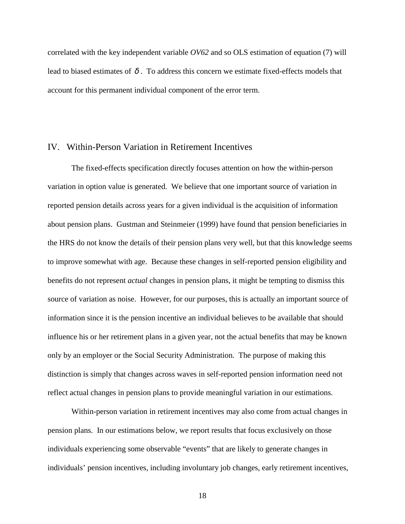correlated with the key independent variable *OV62* and so OLS estimation of equation (7) will lead to biased estimates of  $\delta$ . To address this concern we estimate fixed-effects models that account for this permanent individual component of the error term.

#### IV. Within-Person Variation in Retirement Incentives

The fixed-effects specification directly focuses attention on how the within-person variation in option value is generated. We believe that one important source of variation in reported pension details across years for a given individual is the acquisition of information about pension plans. Gustman and Steinmeier (1999) have found that pension beneficiaries in the HRS do not know the details of their pension plans very well, but that this knowledge seems to improve somewhat with age. Because these changes in self-reported pension eligibility and benefits do not represent *actual* changes in pension plans, it might be tempting to dismiss this source of variation as noise. However, for our purposes, this is actually an important source of information since it is the pension incentive an individual believes to be available that should influence his or her retirement plans in a given year, not the actual benefits that may be known only by an employer or the Social Security Administration. The purpose of making this distinction is simply that changes across waves in self-reported pension information need not reflect actual changes in pension plans to provide meaningful variation in our estimations.

 Within-person variation in retirement incentives may also come from actual changes in pension plans. In our estimations below, we report results that focus exclusively on those individuals experiencing some observable "events" that are likely to generate changes in individuals' pension incentives, including involuntary job changes, early retirement incentives,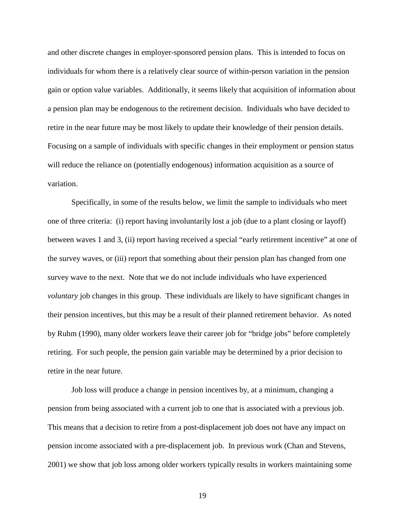and other discrete changes in employer-sponsored pension plans. This is intended to focus on individuals for whom there is a relatively clear source of within-person variation in the pension gain or option value variables. Additionally, it seems likely that acquisition of information about a pension plan may be endogenous to the retirement decision. Individuals who have decided to retire in the near future may be most likely to update their knowledge of their pension details. Focusing on a sample of individuals with specific changes in their employment or pension status will reduce the reliance on (potentially endogenous) information acquisition as a source of variation.

Specifically, in some of the results below, we limit the sample to individuals who meet one of three criteria: (i) report having involuntarily lost a job (due to a plant closing or layoff) between waves 1 and 3, (ii) report having received a special "early retirement incentive" at one of the survey waves, or (iii) report that something about their pension plan has changed from one survey wave to the next. Note that we do not include individuals who have experienced *voluntary* job changes in this group. These individuals are likely to have significant changes in their pension incentives, but this may be a result of their planned retirement behavior. As noted by Ruhm (1990), many older workers leave their career job for "bridge jobs" before completely retiring. For such people, the pension gain variable may be determined by a prior decision to retire in the near future.

 Job loss will produce a change in pension incentives by, at a minimum, changing a pension from being associated with a current job to one that is associated with a previous job. This means that a decision to retire from a post-displacement job does not have any impact on pension income associated with a pre-displacement job. In previous work (Chan and Stevens, 2001) we show that job loss among older workers typically results in workers maintaining some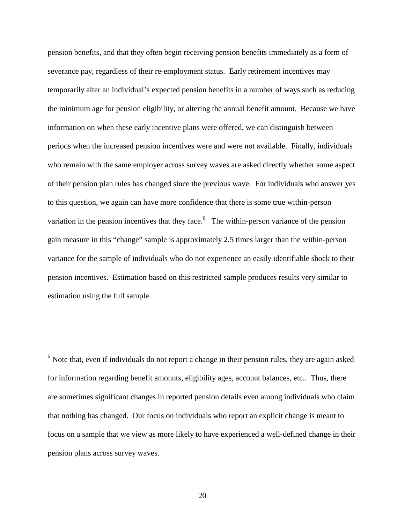pension benefits, and that they often begin receiving pension benefits immediately as a form of severance pay, regardless of their re-employment status. Early retirement incentives may temporarily alter an individual's expected pension benefits in a number of ways such as reducing the minimum age for pension eligibility, or altering the annual benefit amount. Because we have information on when these early incentive plans were offered, we can distinguish between periods when the increased pension incentives were and were not available. Finally, individuals who remain with the same employer across survey waves are asked directly whether some aspect of their pension plan rules has changed since the previous wave. For individuals who answer yes to this question, we again can have more confidence that there is some true within-person variation in the pension incentives that they face.  $6\degree$  The within-person variance of the pension gain measure in this "change" sample is approximately 2.5 times larger than the within-person variance for the sample of individuals who do not experience an easily identifiable shock to their pension incentives. Estimation based on this restricted sample produces results very similar to estimation using the full sample.

 $\overline{a}$ 

 $6$  Note that, even if individuals do not report a change in their pension rules, they are again asked for information regarding benefit amounts, eligibility ages, account balances, etc.. Thus, there are sometimes significant changes in reported pension details even among individuals who claim that nothing has changed. Our focus on individuals who report an explicit change is meant to focus on a sample that we view as more likely to have experienced a well-defined change in their pension plans across survey waves.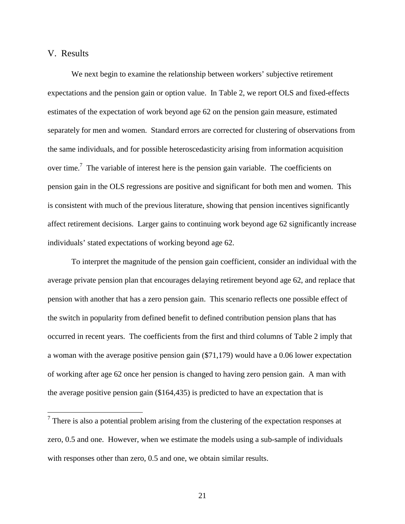#### V. Results

 $\overline{a}$ 

We next begin to examine the relationship between workers' subjective retirement expectations and the pension gain or option value. In Table 2, we report OLS and fixed-effects estimates of the expectation of work beyond age 62 on the pension gain measure, estimated separately for men and women. Standard errors are corrected for clustering of observations from the same individuals, and for possible heteroscedasticity arising from information acquisition over time.<sup>7</sup> The variable of interest here is the pension gain variable. The coefficients on pension gain in the OLS regressions are positive and significant for both men and women. This is consistent with much of the previous literature, showing that pension incentives significantly affect retirement decisions. Larger gains to continuing work beyond age 62 significantly increase individuals' stated expectations of working beyond age 62.

To interpret the magnitude of the pension gain coefficient, consider an individual with the average private pension plan that encourages delaying retirement beyond age 62, and replace that pension with another that has a zero pension gain. This scenario reflects one possible effect of the switch in popularity from defined benefit to defined contribution pension plans that has occurred in recent years. The coefficients from the first and third columns of Table 2 imply that a woman with the average positive pension gain (\$71,179) would have a 0.06 lower expectation of working after age 62 once her pension is changed to having zero pension gain. A man with the average positive pension gain (\$164,435) is predicted to have an expectation that is

 $<sup>7</sup>$  There is also a potential problem arising from the clustering of the expectation responses at</sup> zero, 0.5 and one. However, when we estimate the models using a sub-sample of individuals with responses other than zero, 0.5 and one, we obtain similar results.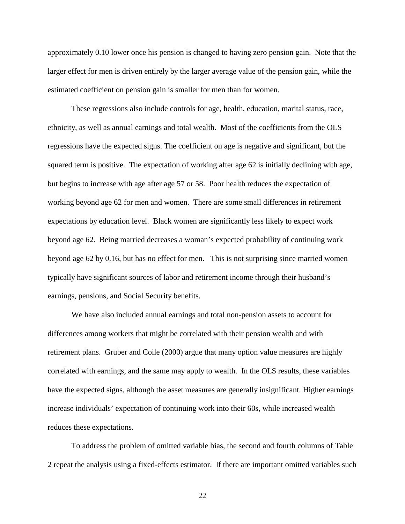approximately 0.10 lower once his pension is changed to having zero pension gain. Note that the larger effect for men is driven entirely by the larger average value of the pension gain, while the estimated coefficient on pension gain is smaller for men than for women.

 These regressions also include controls for age, health, education, marital status, race, ethnicity, as well as annual earnings and total wealth. Most of the coefficients from the OLS regressions have the expected signs. The coefficient on age is negative and significant, but the squared term is positive. The expectation of working after age 62 is initially declining with age, but begins to increase with age after age 57 or 58. Poor health reduces the expectation of working beyond age 62 for men and women. There are some small differences in retirement expectations by education level. Black women are significantly less likely to expect work beyond age 62. Being married decreases a woman's expected probability of continuing work beyond age 62 by 0.16, but has no effect for men. This is not surprising since married women typically have significant sources of labor and retirement income through their husband's earnings, pensions, and Social Security benefits.

 We have also included annual earnings and total non-pension assets to account for differences among workers that might be correlated with their pension wealth and with retirement plans. Gruber and Coile (2000) argue that many option value measures are highly correlated with earnings, and the same may apply to wealth. In the OLS results, these variables have the expected signs, although the asset measures are generally insignificant. Higher earnings increase individuals' expectation of continuing work into their 60s, while increased wealth reduces these expectations.

 To address the problem of omitted variable bias, the second and fourth columns of Table 2 repeat the analysis using a fixed-effects estimator. If there are important omitted variables such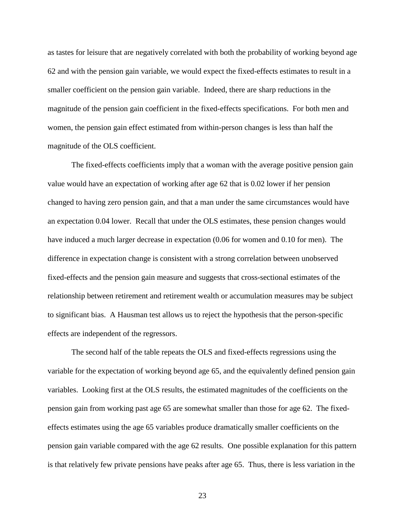as tastes for leisure that are negatively correlated with both the probability of working beyond age 62 and with the pension gain variable, we would expect the fixed-effects estimates to result in a smaller coefficient on the pension gain variable. Indeed, there are sharp reductions in the magnitude of the pension gain coefficient in the fixed-effects specifications. For both men and women, the pension gain effect estimated from within-person changes is less than half the magnitude of the OLS coefficient.

The fixed-effects coefficients imply that a woman with the average positive pension gain value would have an expectation of working after age 62 that is 0.02 lower if her pension changed to having zero pension gain, and that a man under the same circumstances would have an expectation 0.04 lower. Recall that under the OLS estimates, these pension changes would have induced a much larger decrease in expectation (0.06 for women and 0.10 for men). The difference in expectation change is consistent with a strong correlation between unobserved fixed-effects and the pension gain measure and suggests that cross-sectional estimates of the relationship between retirement and retirement wealth or accumulation measures may be subject to significant bias. A Hausman test allows us to reject the hypothesis that the person-specific effects are independent of the regressors.

 The second half of the table repeats the OLS and fixed-effects regressions using the variable for the expectation of working beyond age 65, and the equivalently defined pension gain variables. Looking first at the OLS results, the estimated magnitudes of the coefficients on the pension gain from working past age 65 are somewhat smaller than those for age 62. The fixedeffects estimates using the age 65 variables produce dramatically smaller coefficients on the pension gain variable compared with the age 62 results. One possible explanation for this pattern is that relatively few private pensions have peaks after age 65. Thus, there is less variation in the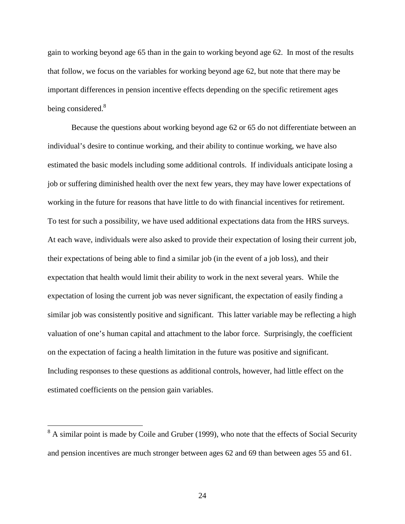gain to working beyond age 65 than in the gain to working beyond age 62. In most of the results that follow, we focus on the variables for working beyond age 62, but note that there may be important differences in pension incentive effects depending on the specific retirement ages being considered.<sup>8</sup>

 Because the questions about working beyond age 62 or 65 do not differentiate between an individual's desire to continue working, and their ability to continue working, we have also estimated the basic models including some additional controls. If individuals anticipate losing a job or suffering diminished health over the next few years, they may have lower expectations of working in the future for reasons that have little to do with financial incentives for retirement. To test for such a possibility, we have used additional expectations data from the HRS surveys. At each wave, individuals were also asked to provide their expectation of losing their current job, their expectations of being able to find a similar job (in the event of a job loss), and their expectation that health would limit their ability to work in the next several years. While the expectation of losing the current job was never significant, the expectation of easily finding a similar job was consistently positive and significant. This latter variable may be reflecting a high valuation of one's human capital and attachment to the labor force. Surprisingly, the coefficient on the expectation of facing a health limitation in the future was positive and significant. Including responses to these questions as additional controls, however, had little effect on the estimated coefficients on the pension gain variables.

 $\overline{a}$ 

 $8$  A similar point is made by Coile and Gruber (1999), who note that the effects of Social Security and pension incentives are much stronger between ages 62 and 69 than between ages 55 and 61.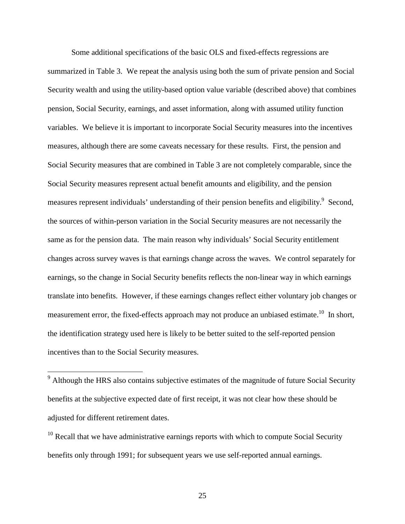Some additional specifications of the basic OLS and fixed-effects regressions are summarized in Table 3. We repeat the analysis using both the sum of private pension and Social Security wealth and using the utility-based option value variable (described above) that combines pension, Social Security, earnings, and asset information, along with assumed utility function variables. We believe it is important to incorporate Social Security measures into the incentives measures, although there are some caveats necessary for these results. First, the pension and Social Security measures that are combined in Table 3 are not completely comparable, since the Social Security measures represent actual benefit amounts and eligibility, and the pension measures represent individuals' understanding of their pension benefits and eligibility.<sup>9</sup> Second, the sources of within-person variation in the Social Security measures are not necessarily the same as for the pension data. The main reason why individuals' Social Security entitlement changes across survey waves is that earnings change across the waves. We control separately for earnings, so the change in Social Security benefits reflects the non-linear way in which earnings translate into benefits. However, if these earnings changes reflect either voluntary job changes or measurement error, the fixed-effects approach may not produce an unbiased estimate.<sup>10</sup> In short, the identification strategy used here is likely to be better suited to the self-reported pension incentives than to the Social Security measures.

<sup>&</sup>lt;sup>9</sup> Although the HRS also contains subjective estimates of the magnitude of future Social Security benefits at the subjective expected date of first receipt, it was not clear how these should be adjusted for different retirement dates.

 $10$  Recall that we have administrative earnings reports with which to compute Social Security benefits only through 1991; for subsequent years we use self-reported annual earnings.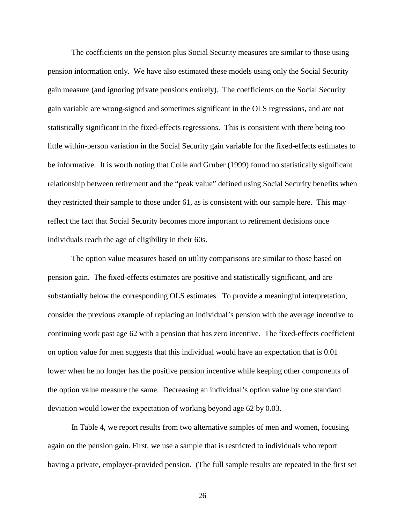The coefficients on the pension plus Social Security measures are similar to those using pension information only. We have also estimated these models using only the Social Security gain measure (and ignoring private pensions entirely). The coefficients on the Social Security gain variable are wrong-signed and sometimes significant in the OLS regressions, and are not statistically significant in the fixed-effects regressions. This is consistent with there being too little within-person variation in the Social Security gain variable for the fixed-effects estimates to be informative. It is worth noting that Coile and Gruber (1999) found no statistically significant relationship between retirement and the "peak value" defined using Social Security benefits when they restricted their sample to those under 61, as is consistent with our sample here. This may reflect the fact that Social Security becomes more important to retirement decisions once individuals reach the age of eligibility in their 60s.

 The option value measures based on utility comparisons are similar to those based on pension gain. The fixed-effects estimates are positive and statistically significant, and are substantially below the corresponding OLS estimates. To provide a meaningful interpretation, consider the previous example of replacing an individual's pension with the average incentive to continuing work past age 62 with a pension that has zero incentive. The fixed-effects coefficient on option value for men suggests that this individual would have an expectation that is 0.01 lower when he no longer has the positive pension incentive while keeping other components of the option value measure the same. Decreasing an individual's option value by one standard deviation would lower the expectation of working beyond age 62 by 0.03.

 In Table 4, we report results from two alternative samples of men and women, focusing again on the pension gain. First, we use a sample that is restricted to individuals who report having a private, employer-provided pension. (The full sample results are repeated in the first set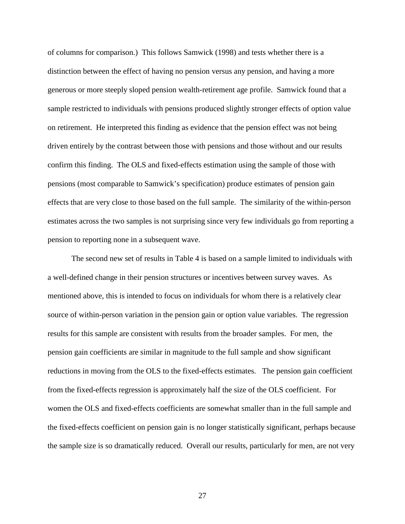of columns for comparison.) This follows Samwick (1998) and tests whether there is a distinction between the effect of having no pension versus any pension, and having a more generous or more steeply sloped pension wealth-retirement age profile. Samwick found that a sample restricted to individuals with pensions produced slightly stronger effects of option value on retirement. He interpreted this finding as evidence that the pension effect was not being driven entirely by the contrast between those with pensions and those without and our results confirm this finding. The OLS and fixed-effects estimation using the sample of those with pensions (most comparable to Samwick's specification) produce estimates of pension gain effects that are very close to those based on the full sample. The similarity of the within-person estimates across the two samples is not surprising since very few individuals go from reporting a pension to reporting none in a subsequent wave.

 The second new set of results in Table 4 is based on a sample limited to individuals with a well-defined change in their pension structures or incentives between survey waves. As mentioned above, this is intended to focus on individuals for whom there is a relatively clear source of within-person variation in the pension gain or option value variables. The regression results for this sample are consistent with results from the broader samples. For men, the pension gain coefficients are similar in magnitude to the full sample and show significant reductions in moving from the OLS to the fixed-effects estimates. The pension gain coefficient from the fixed-effects regression is approximately half the size of the OLS coefficient. For women the OLS and fixed-effects coefficients are somewhat smaller than in the full sample and the fixed-effects coefficient on pension gain is no longer statistically significant, perhaps because the sample size is so dramatically reduced. Overall our results, particularly for men, are not very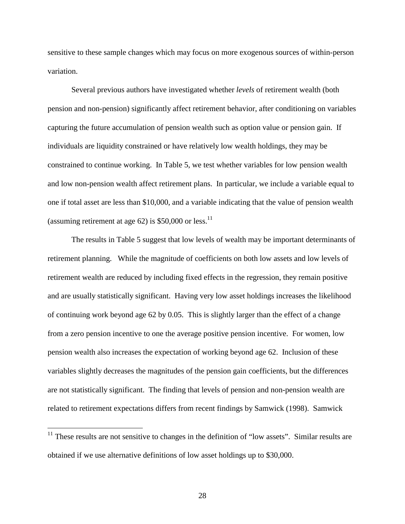sensitive to these sample changes which may focus on more exogenous sources of within-person variation.

 Several previous authors have investigated whether *levels* of retirement wealth (both pension and non-pension) significantly affect retirement behavior, after conditioning on variables capturing the future accumulation of pension wealth such as option value or pension gain. If individuals are liquidity constrained or have relatively low wealth holdings, they may be constrained to continue working. In Table 5, we test whether variables for low pension wealth and low non-pension wealth affect retirement plans. In particular, we include a variable equal to one if total asset are less than \$10,000, and a variable indicating that the value of pension wealth (assuming retirement at age 62) is  $$50,000$  or less.<sup>11</sup>

 The results in Table 5 suggest that low levels of wealth may be important determinants of retirement planning. While the magnitude of coefficients on both low assets and low levels of retirement wealth are reduced by including fixed effects in the regression, they remain positive and are usually statistically significant. Having very low asset holdings increases the likelihood of continuing work beyond age 62 by 0.05. This is slightly larger than the effect of a change from a zero pension incentive to one the average positive pension incentive. For women, low pension wealth also increases the expectation of working beyond age 62. Inclusion of these variables slightly decreases the magnitudes of the pension gain coefficients, but the differences are not statistically significant. The finding that levels of pension and non-pension wealth are related to retirement expectations differs from recent findings by Samwick (1998). Samwick

 $\overline{a}$ 

 $11$  These results are not sensitive to changes in the definition of "low assets". Similar results are obtained if we use alternative definitions of low asset holdings up to \$30,000.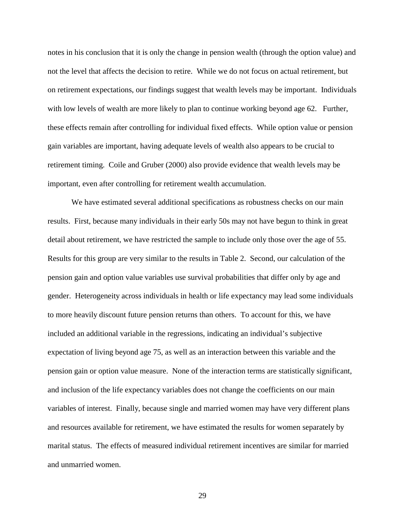notes in his conclusion that it is only the change in pension wealth (through the option value) and not the level that affects the decision to retire. While we do not focus on actual retirement, but on retirement expectations, our findings suggest that wealth levels may be important. Individuals with low levels of wealth are more likely to plan to continue working beyond age 62. Further, these effects remain after controlling for individual fixed effects. While option value or pension gain variables are important, having adequate levels of wealth also appears to be crucial to retirement timing. Coile and Gruber (2000) also provide evidence that wealth levels may be important, even after controlling for retirement wealth accumulation.

 We have estimated several additional specifications as robustness checks on our main results. First, because many individuals in their early 50s may not have begun to think in great detail about retirement, we have restricted the sample to include only those over the age of 55. Results for this group are very similar to the results in Table 2. Second, our calculation of the pension gain and option value variables use survival probabilities that differ only by age and gender. Heterogeneity across individuals in health or life expectancy may lead some individuals to more heavily discount future pension returns than others. To account for this, we have included an additional variable in the regressions, indicating an individual's subjective expectation of living beyond age 75, as well as an interaction between this variable and the pension gain or option value measure. None of the interaction terms are statistically significant, and inclusion of the life expectancy variables does not change the coefficients on our main variables of interest. Finally, because single and married women may have very different plans and resources available for retirement, we have estimated the results for women separately by marital status. The effects of measured individual retirement incentives are similar for married and unmarried women.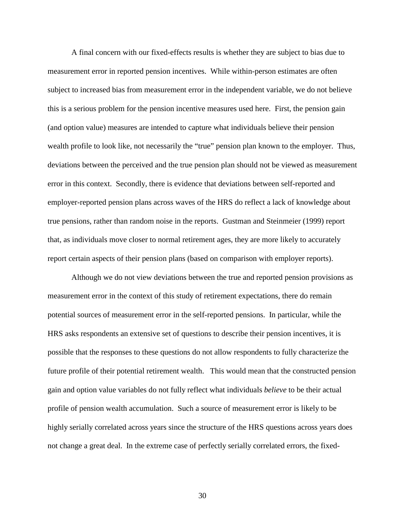A final concern with our fixed-effects results is whether they are subject to bias due to measurement error in reported pension incentives. While within-person estimates are often subject to increased bias from measurement error in the independent variable, we do not believe this is a serious problem for the pension incentive measures used here. First, the pension gain (and option value) measures are intended to capture what individuals believe their pension wealth profile to look like, not necessarily the "true" pension plan known to the employer. Thus, deviations between the perceived and the true pension plan should not be viewed as measurement error in this context. Secondly, there is evidence that deviations between self-reported and employer-reported pension plans across waves of the HRS do reflect a lack of knowledge about true pensions, rather than random noise in the reports. Gustman and Steinmeier (1999) report that, as individuals move closer to normal retirement ages, they are more likely to accurately report certain aspects of their pension plans (based on comparison with employer reports).

 Although we do not view deviations between the true and reported pension provisions as measurement error in the context of this study of retirement expectations, there do remain potential sources of measurement error in the self-reported pensions. In particular, while the HRS asks respondents an extensive set of questions to describe their pension incentives, it is possible that the responses to these questions do not allow respondents to fully characterize the future profile of their potential retirement wealth. This would mean that the constructed pension gain and option value variables do not fully reflect what individuals *believe* to be their actual profile of pension wealth accumulation. Such a source of measurement error is likely to be highly serially correlated across years since the structure of the HRS questions across years does not change a great deal. In the extreme case of perfectly serially correlated errors, the fixed-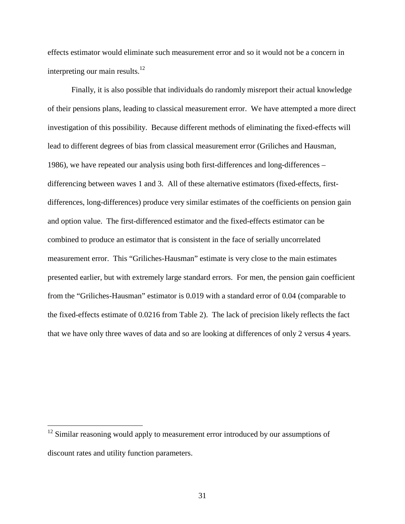effects estimator would eliminate such measurement error and so it would not be a concern in interpreting our main results. $^{12}$ 

 Finally, it is also possible that individuals do randomly misreport their actual knowledge of their pensions plans, leading to classical measurement error. We have attempted a more direct investigation of this possibility. Because different methods of eliminating the fixed-effects will lead to different degrees of bias from classical measurement error (Griliches and Hausman, 1986), we have repeated our analysis using both first-differences and long-differences – differencing between waves 1 and 3. All of these alternative estimators (fixed-effects, firstdifferences, long-differences) produce very similar estimates of the coefficients on pension gain and option value. The first-differenced estimator and the fixed-effects estimator can be combined to produce an estimator that is consistent in the face of serially uncorrelated measurement error. This "Griliches-Hausman" estimate is very close to the main estimates presented earlier, but with extremely large standard errors. For men, the pension gain coefficient from the "Griliches-Hausman" estimator is 0.019 with a standard error of 0.04 (comparable to the fixed-effects estimate of 0.0216 from Table 2). The lack of precision likely reflects the fact that we have only three waves of data and so are looking at differences of only 2 versus 4 years.

 $\overline{a}$ 

<sup>&</sup>lt;sup>12</sup> Similar reasoning would apply to measurement error introduced by our assumptions of discount rates and utility function parameters.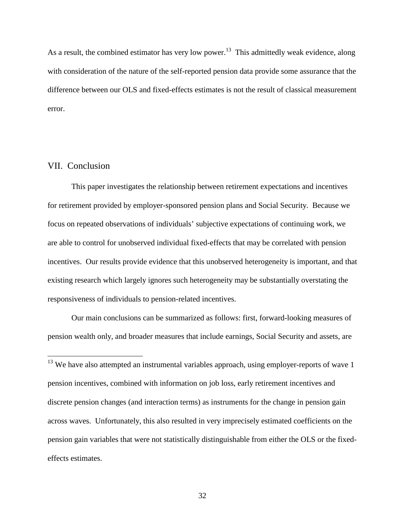As a result, the combined estimator has very low power.<sup>13</sup> This admittedly weak evidence, along with consideration of the nature of the self-reported pension data provide some assurance that the difference between our OLS and fixed-effects estimates is not the result of classical measurement error.

## VII. Conclusion

 $\overline{a}$ 

 This paper investigates the relationship between retirement expectations and incentives for retirement provided by employer-sponsored pension plans and Social Security. Because we focus on repeated observations of individuals' subjective expectations of continuing work, we are able to control for unobserved individual fixed-effects that may be correlated with pension incentives. Our results provide evidence that this unobserved heterogeneity is important, and that existing research which largely ignores such heterogeneity may be substantially overstating the responsiveness of individuals to pension-related incentives.

 Our main conclusions can be summarized as follows: first, forward-looking measures of pension wealth only, and broader measures that include earnings, Social Security and assets, are

 $13$  We have also attempted an instrumental variables approach, using employer-reports of wave 1 pension incentives, combined with information on job loss, early retirement incentives and discrete pension changes (and interaction terms) as instruments for the change in pension gain across waves. Unfortunately, this also resulted in very imprecisely estimated coefficients on the pension gain variables that were not statistically distinguishable from either the OLS or the fixedeffects estimates.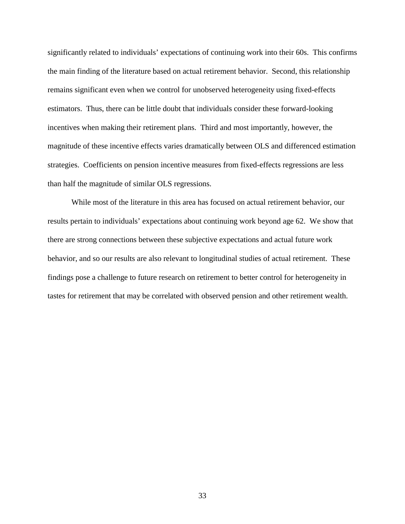significantly related to individuals' expectations of continuing work into their 60s. This confirms the main finding of the literature based on actual retirement behavior. Second, this relationship remains significant even when we control for unobserved heterogeneity using fixed-effects estimators. Thus, there can be little doubt that individuals consider these forward-looking incentives when making their retirement plans. Third and most importantly, however, the magnitude of these incentive effects varies dramatically between OLS and differenced estimation strategies. Coefficients on pension incentive measures from fixed-effects regressions are less than half the magnitude of similar OLS regressions.

 While most of the literature in this area has focused on actual retirement behavior, our results pertain to individuals' expectations about continuing work beyond age 62. We show that there are strong connections between these subjective expectations and actual future work behavior, and so our results are also relevant to longitudinal studies of actual retirement. These findings pose a challenge to future research on retirement to better control for heterogeneity in tastes for retirement that may be correlated with observed pension and other retirement wealth.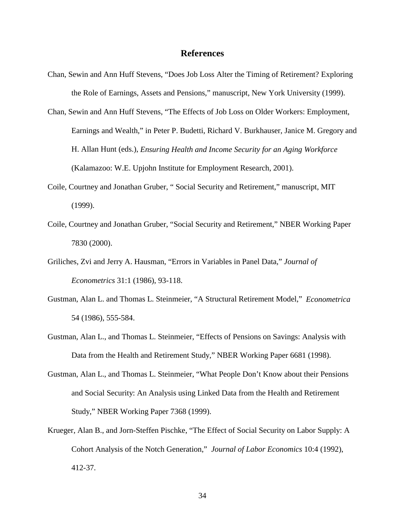#### **References**

- Chan, Sewin and Ann Huff Stevens, "Does Job Loss Alter the Timing of Retirement? Exploring the Role of Earnings, Assets and Pensions," manuscript, New York University (1999).
- Chan, Sewin and Ann Huff Stevens, "The Effects of Job Loss on Older Workers: Employment, Earnings and Wealth," in Peter P. Budetti, Richard V. Burkhauser, Janice M. Gregory and H. Allan Hunt (eds.), *Ensuring Health and Income Security for an Aging Workforce* (Kalamazoo: W.E. Upjohn Institute for Employment Research, 2001).
- Coile, Courtney and Jonathan Gruber, " Social Security and Retirement," manuscript, MIT (1999).
- Coile, Courtney and Jonathan Gruber, "Social Security and Retirement," NBER Working Paper 7830 (2000).
- Griliches, Zvi and Jerry A. Hausman, "Errors in Variables in Panel Data," *Journal of Econometrics* 31:1 (1986), 93-118.
- Gustman, Alan L. and Thomas L. Steinmeier, "A Structural Retirement Model," *Econometrica* 54 (1986), 555-584.
- Gustman, Alan L., and Thomas L. Steinmeier, "Effects of Pensions on Savings: Analysis with Data from the Health and Retirement Study," NBER Working Paper 6681 (1998).
- Gustman, Alan L., and Thomas L. Steinmeier, "What People Don't Know about their Pensions and Social Security: An Analysis using Linked Data from the Health and Retirement Study," NBER Working Paper 7368 (1999).
- Krueger, Alan B., and Jorn-Steffen Pischke, "The Effect of Social Security on Labor Supply: A Cohort Analysis of the Notch Generation," *Journal of Labor Economics* 10:4 (1992), 412-37.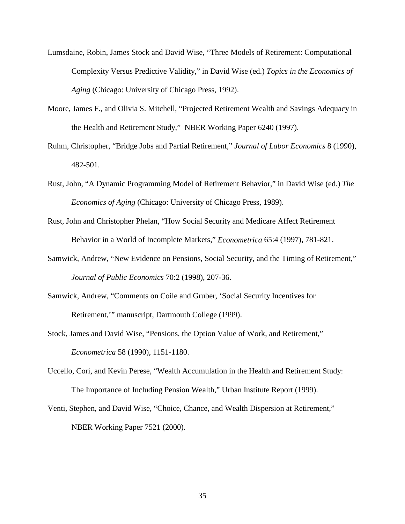- Lumsdaine, Robin, James Stock and David Wise, "Three Models of Retirement: Computational Complexity Versus Predictive Validity," in David Wise (ed.) *Topics in the Economics of Aging* (Chicago: University of Chicago Press, 1992).
- Moore, James F., and Olivia S. Mitchell, "Projected Retirement Wealth and Savings Adequacy in the Health and Retirement Study," NBER Working Paper 6240 (1997).
- Ruhm, Christopher, "Bridge Jobs and Partial Retirement," *Journal of Labor Economics* 8 (1990), 482-501.
- Rust, John, "A Dynamic Programming Model of Retirement Behavior," in David Wise (ed.) *The Economics of Aging* (Chicago: University of Chicago Press, 1989).
- Rust, John and Christopher Phelan, "How Social Security and Medicare Affect Retirement Behavior in a World of Incomplete Markets," *Econometrica* 65:4 (1997), 781-821.
- Samwick, Andrew, "New Evidence on Pensions, Social Security, and the Timing of Retirement," *Journal of Public Economics* 70:2 (1998), 207-36.
- Samwick, Andrew, "Comments on Coile and Gruber, 'Social Security Incentives for Retirement,'" manuscript, Dartmouth College (1999).
- Stock, James and David Wise, "Pensions, the Option Value of Work, and Retirement," *Econometrica* 58 (1990), 1151-1180.
- Uccello, Cori, and Kevin Perese, "Wealth Accumulation in the Health and Retirement Study: The Importance of Including Pension Wealth," Urban Institute Report (1999).
- Venti, Stephen, and David Wise, "Choice, Chance, and Wealth Dispersion at Retirement," NBER Working Paper 7521 (2000).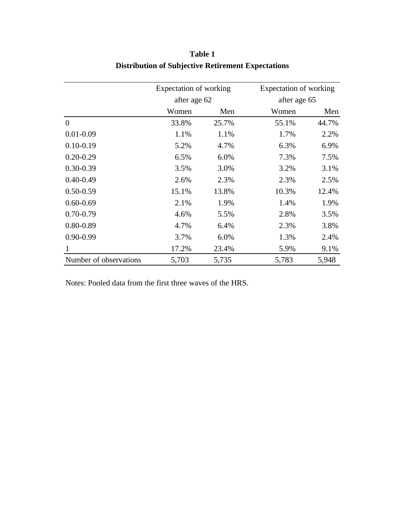|                        | Expectation of working |       | Expectation of working |       |  |
|------------------------|------------------------|-------|------------------------|-------|--|
|                        | after age 62           |       | after age 65           |       |  |
|                        | Women                  | Men   | Women                  | Men   |  |
| $\overline{0}$         | 33.8%                  | 25.7% | 55.1%                  | 44.7% |  |
| $0.01 - 0.09$          | 1.1%                   | 1.1%  | 1.7%                   | 2.2%  |  |
| $0.10 - 0.19$          | 5.2%                   | 4.7%  | 6.3%                   | 6.9%  |  |
| $0.20 - 0.29$          | 6.5%                   | 6.0%  | 7.3%                   | 7.5%  |  |
| $0.30 - 0.39$          | 3.5%                   | 3.0%  | 3.2%                   | 3.1%  |  |
| $0.40 - 0.49$          | 2.6%                   | 2.3%  | 2.3%                   | 2.5%  |  |
| $0.50 - 0.59$          | 15.1%                  | 13.8% | 10.3%                  | 12.4% |  |
| $0.60 - 0.69$          | 2.1%                   | 1.9%  | 1.4%                   | 1.9%  |  |
| $0.70 - 0.79$          | 4.6%                   | 5.5%  | 2.8%                   | 3.5%  |  |
| $0.80 - 0.89$          | 4.7%                   | 6.4%  | 2.3%                   | 3.8%  |  |
| $0.90 - 0.99$          | 3.7%                   | 6.0%  | 1.3%                   | 2.4%  |  |
| -1                     | 17.2%                  | 23.4% | 5.9%                   | 9.1%  |  |
| Number of observations | 5,703                  | 5,735 | 5,783                  | 5,948 |  |

**Table 1 Distribution of Subjective Retirement Expectations**

Notes: Pooled data from the first three waves of the HRS.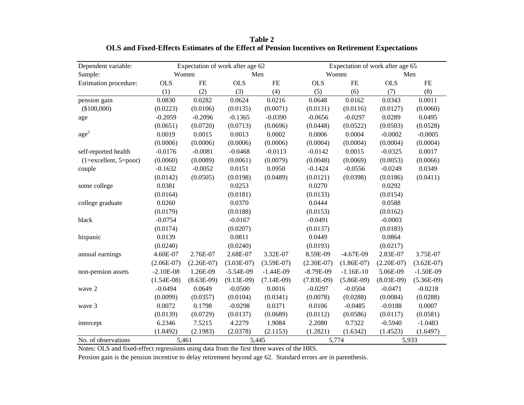| Dependent variable:                       |                | Expectation of work after age 62 |              |              |              | Expectation of work after age 65 |              |              |  |
|-------------------------------------------|----------------|----------------------------------|--------------|--------------|--------------|----------------------------------|--------------|--------------|--|
| Sample:                                   |                | Women                            | Men          |              |              | Women                            | Men          |              |  |
| Estimation procedure:                     | <b>OLS</b>     | $FE$                             | <b>OLS</b>   | <b>FE</b>    | <b>OLS</b>   | <b>FE</b>                        | <b>OLS</b>   | <b>FE</b>    |  |
|                                           | (1)            | (2)                              | (3)          | (4)          | (5)          | (6)                              | (7)          | (8)          |  |
| pension gain                              | 0.0830         | 0.0282                           | 0.0624       | 0.0216       | 0.0648       | 0.0162                           | 0.0343       | 0.0011       |  |
| (\$100,000)                               | (0.0223)       | (0.0106)                         | (0.0135)     | (0.0071)     | (0.0131)     | (0.0116)                         | (0.0127)     | (0.0060)     |  |
| age                                       | $-0.2059$      | $-0.2096$                        | $-0.1365$    | $-0.0390$    | $-0.0656$    | $-0.0297$                        | 0.0289       | 0.0495       |  |
|                                           | (0.0651)       | (0.0720)                         | (0.0713)     | (0.0696)     | (0.0448)     | (0.0522)                         | (0.0503)     | (0.0528)     |  |
| age <sup>2</sup>                          | 0.0019         | 0.0015                           | 0.0013       | 0.0002       | 0.0006       | 0.0004                           | $-0.0002$    | $-0.0005$    |  |
|                                           | (0.0006)       | (0.0006)                         | (0.0006)     | (0.0006)     | (0.0004)     | (0.0004)                         | (0.0004)     | (0.0004)     |  |
| self-reported health                      | $-0.0176$      | $-0.0081$                        | $-0.0468$    | $-0.0113$    | $-0.0142$    | 0.0015                           | $-0.0325$    | 0.0017       |  |
| $(1 = \text{excellent}, 5 = \text{poor})$ | (0.0060)       | (0.0089)                         | (0.0061)     | (0.0079)     | (0.0048)     | (0.0069)                         | (0.0053)     | (0.0066)     |  |
| couple                                    | $-0.1632$      | $-0.0052$                        | 0.0151       | 0.0950       | $-0.1424$    | $-0.0556$                        | $-0.0249$    | 0.0349       |  |
|                                           | (0.0142)       | (0.0505)                         | (0.0198)     | (0.0489)     | (0.0121)     | (0.0398)                         | (0.0186)     | (0.0411)     |  |
| some college                              | 0.0381         |                                  | 0.0253       |              | 0.0270       |                                  | 0.0292       |              |  |
|                                           | (0.0164)       |                                  | (0.0181)     |              | (0.0133)     |                                  | (0.0154)     |              |  |
| college graduate                          | 0.0260         |                                  | 0.0370       |              | 0.0444       |                                  | 0.0588       |              |  |
|                                           | (0.0179)       |                                  | (0.0188)     |              | (0.0153)     |                                  | (0.0162)     |              |  |
| black                                     | $-0.0754$      |                                  | $-0.0167$    |              | $-0.0491$    |                                  | $-0.0003$    |              |  |
|                                           | (0.0174)       |                                  | (0.0207)     |              | (0.0137)     |                                  | (0.0183)     |              |  |
| hispanic                                  | 0.0139         |                                  | 0.0811       |              | 0.0449       |                                  | 0.0864       |              |  |
|                                           | (0.0240)       |                                  | (0.0240)     |              | (0.0193)     |                                  | (0.0217)     |              |  |
| annual earnings                           | 4.60E-07       | 2.76E-07                         | 2.68E-07     | 3.32E-07     | 8.59E-09     | $-4.67E-09$                      | 2.83E-07     | 3.75E-07     |  |
|                                           | $(2.06E-07)$   | $(2.26E-07)$                     | $(3.03E-07)$ | $(3.59E-07)$ | $(2.30E-07)$ | $(1.86E-07)$                     | $(2.20E-07)$ | $(3.62E-07)$ |  |
| non-pension assets                        | $-2.10E-08$    | 1.26E-09                         | $-5.54E-09$  | $-1.44E-09$  | $-8.79E-09$  | $-1.16E-10$                      | 5.06E-09     | $-1.50E-09$  |  |
|                                           | $(1.54E-08)$   | $(8.63E-09)$                     | $(9.13E-09)$ | $(7.14E-09)$ | $(7.83E-09)$ | $(5.86E-09)$                     | $(8.03E-09)$ | $(5.36E-09)$ |  |
| wave 2                                    | $-0.0494$      | 0.0649                           | $-0.0500$    | 0.0016       | $-0.0297$    | $-0.0504$                        | $-0.0471$    | $-0.0218$    |  |
|                                           | (0.0099)       | (0.0357)                         | (0.0104)     | (0.0341)     | (0.0078)     | (0.0288)                         | (0.0084)     | (0.0288)     |  |
| wave 3                                    | 0.0072         | 0.1798                           | $-0.0298$    | 0.0371       | 0.0106       | $-0.0485$                        | $-0.0188$    | 0.0007       |  |
|                                           | (0.0139)       | (0.0729)                         | (0.0137)     | (0.0689)     | (0.0112)     | (0.0586)                         | (0.0117)     | (0.0581)     |  |
| intercept                                 | 6.2346         | 7.5215                           | 4.2279       | 1.9084       | 2.2080       | 0.7322                           | $-0.5940$    | $-1.0483$    |  |
|                                           | (1.8492)       | (2.1983)                         | (2.0378)     | (2.1153)     | (1.2821)     | (1.6342)                         | (1.4523)     | (1.6497)     |  |
| No. of observations                       | 5,461<br>5,445 |                                  |              | 5,774        | 5,933        |                                  |              |              |  |

**Table 2 OLS and Fixed-Effects Estimates of the Effect of Pension Incentives on Retirement Expectations**

Notes: OLS and fixed-effect regressions using data from the first three waves of the HRS.

Pension gain is the pension incentive to delay retirement beyond age 62. Standard errors are in parenthesis.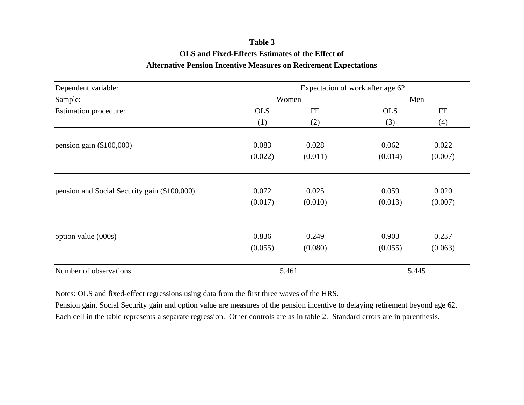# **Table 3 OLS and Fixed-Effects Estimates of the Effect of Alternative Pension Incentive Measures on Retirement Expectations**

| Dependent variable:                          | Expectation of work after age 62 |                  |                  |                  |  |  |
|----------------------------------------------|----------------------------------|------------------|------------------|------------------|--|--|
| Sample:                                      |                                  | Women            |                  | Men              |  |  |
| <b>Estimation procedure:</b>                 | <b>OLS</b>                       | FE               | <b>OLS</b>       | <b>FE</b>        |  |  |
|                                              | (1)                              | (2)              | (3)              | (4)              |  |  |
| pension gain $(\$100,000)$                   | 0.083<br>(0.022)                 | 0.028<br>(0.011) | 0.062<br>(0.014) | 0.022<br>(0.007) |  |  |
| pension and Social Security gain (\$100,000) | 0.072<br>(0.017)                 | 0.025<br>(0.010) | 0.059<br>(0.013) | 0.020<br>(0.007) |  |  |
| option value (000s)                          | 0.836<br>(0.055)                 | 0.249<br>(0.080) | 0.903<br>(0.055) | 0.237<br>(0.063) |  |  |
| Number of observations                       |                                  | 5,461            |                  | 5,445            |  |  |

Notes: OLS and fixed-effect regressions using data from the first three waves of the HRS.

Pension gain, Social Security gain and option value are measures of the pension incentive to delaying retirement beyond age 62. Each cell in the table represents a separate regression. Other controls are as in table 2. Standard errors are in parenthesis.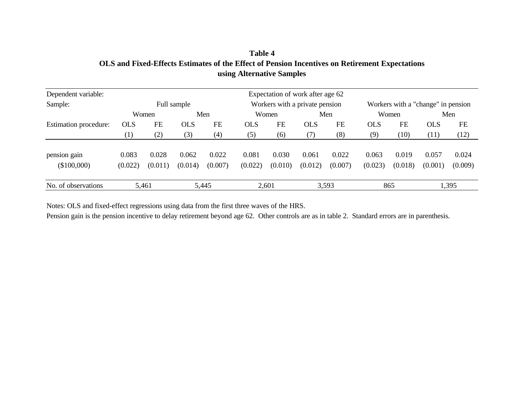| using Alternative Samples   |                  |                  |                  |                  |                  |                                  |                  |                  |                  |                  |                                    |                  |
|-----------------------------|------------------|------------------|------------------|------------------|------------------|----------------------------------|------------------|------------------|------------------|------------------|------------------------------------|------------------|
| Dependent variable:         |                  |                  |                  |                  |                  | Expectation of work after age 62 |                  |                  |                  |                  |                                    |                  |
| Sample:                     |                  |                  | Full sample      |                  |                  | Workers with a private pension   |                  |                  |                  |                  | Workers with a "change" in pension |                  |
|                             |                  | Women            |                  | Men              |                  | Women                            |                  | Men              |                  | Women            |                                    | Men              |
| Estimation procedure:       | <b>OLS</b>       | <b>FE</b>        | <b>OLS</b>       | FE               | <b>OLS</b>       | <b>FE</b>                        | <b>OLS</b>       | <b>FE</b>        | <b>OLS</b>       | <b>FE</b>        | <b>OLS</b>                         | FE               |
|                             | $\left(1\right)$ | (2)              | (3)              | (4)              | (5)              | (6)                              | (7)              | (8)              | (9)              | (10)             | (11)                               | (12)             |
| pension gain<br>(\$100,000) | 0.083<br>(0.022) | 0.028<br>(0.011) | 0.062<br>(0.014) | 0.022<br>(0.007) | 0.081<br>(0.022) | 0.030<br>(0.010)                 | 0.061<br>(0.012) | 0.022<br>(0.007) | 0.063<br>(0.023) | 0.019<br>(0.018) | 0.057<br>(0.001)                   | 0.024<br>(0.009) |

3,593

1,395

865

**Table 4 OLS and Fixed-Effects Estimates of the Effect of Pension Incentives on Retirement Expectations**

Notes: OLS and fixed-effect regressions using data from the first three waves of the HRS.

5,461 2,601 5,445

No. of observations

Pension gain is the pension incentive to delay retirement beyond age 62. Other controls are as in table 2. Standard errors are in parenthesis.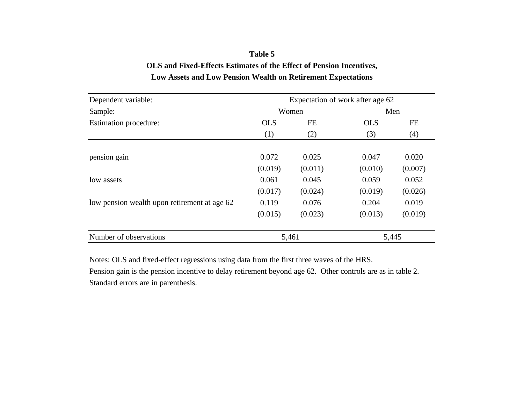## **Low Assets and Low Pension Wealth on Retirement Expectations Table 5 OLS and Fixed-Effects Estimates of the Effect of Pension Incentives,**

| Dependent variable:                          | Expectation of work after age 62 |         |            |         |  |  |
|----------------------------------------------|----------------------------------|---------|------------|---------|--|--|
| Sample:                                      |                                  | Women   |            | Men     |  |  |
| Estimation procedure:                        | <b>OLS</b>                       | FE      | <b>OLS</b> | FE      |  |  |
|                                              | (1)                              | (2)     | (3)        | (4)     |  |  |
|                                              |                                  |         |            |         |  |  |
| pension gain                                 | 0.072                            | 0.025   | 0.047      | 0.020   |  |  |
|                                              | (0.019)                          | (0.011) | (0.010)    | (0.007) |  |  |
| low assets                                   | 0.061                            | 0.045   | 0.059      | 0.052   |  |  |
|                                              | (0.017)                          | (0.024) | (0.019)    | (0.026) |  |  |
| low pension wealth upon retirement at age 62 | 0.119                            | 0.076   | 0.204      | 0.019   |  |  |
|                                              | (0.015)                          | (0.023) | (0.013)    | (0.019) |  |  |
| Number of observations                       | 5,461                            |         |            | 5,445   |  |  |

Notes: OLS and fixed-effect regressions using data from the first three waves of the HRS.

Pension gain is the pension incentive to delay retirement beyond age 62. Other controls are as in table 2. Standard errors are in parenthesis.